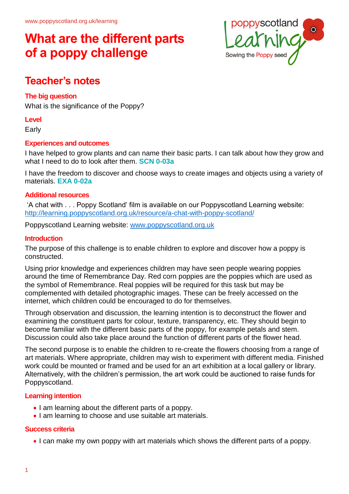

## **Teacher's notes**

## **The big question**

What is the significance of the Poppy?

#### **Level**

Early

### **Experiences and outcomes**

I have helped to grow plants and can name their basic parts. I can talk about how they grow and what I need to do to look after them. **SCN 0-03a**

I have the freedom to discover and choose ways to create images and objects using a variety of materials. **EXA 0-02a**

#### **Additional resources**

'A chat with . . . Poppy Scotland' film is available on our Poppyscotland Learning website: <http://learning.poppyscotland.org.uk/resource/a-chat-with-poppy-scotland/>

Poppyscotland Learning website: [www.poppyscotland.org.uk](http://www.poppyscotland.org.uk/)

### **Introduction**

The purpose of this challenge is to enable children to explore and discover how a poppy is constructed.

Using prior knowledge and experiences children may have seen people wearing poppies around the time of Remembrance Day. Red corn poppies are the poppies which are used as the symbol of Remembrance. Real poppies will be required for this task but may be complemented with detailed photographic images. These can be freely accessed on the internet, which children could be encouraged to do for themselves.

Through observation and discussion, the learning intention is to deconstruct the flower and examining the constituent parts for colour, texture, transparency, etc. They should begin to become familiar with the different basic parts of the poppy, for example petals and stem. Discussion could also take place around the function of different parts of the flower head.

The second purpose is to enable the children to re-create the flowers choosing from a range of art materials. Where appropriate, children may wish to experiment with different media. Finished work could be mounted or framed and be used for an art exhibition at a local gallery or library. Alternatively, with the children's permission, the art work could be auctioned to raise funds for Poppyscotland.

### **Learning intention**

- I am learning about the different parts of a poppy.
- I am learning to choose and use suitable art materials.

### **Success criteria**

I can make my own poppy with art materials which shows the different parts of a poppy.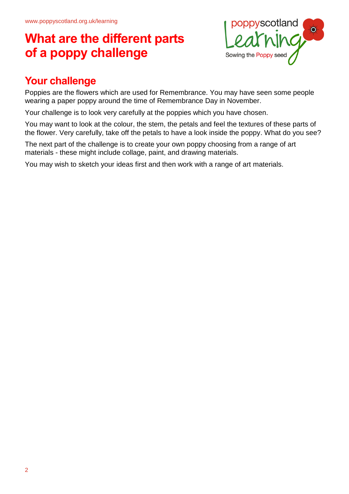

# **Your challenge**

Poppies are the flowers which are used for Remembrance. You may have seen some people wearing a paper poppy around the time of Remembrance Day in November.

Your challenge is to look very carefully at the poppies which you have chosen.

You may want to look at the colour, the stem, the petals and feel the textures of these parts of the flower. Very carefully, take off the petals to have a look inside the poppy. What do you see?

The next part of the challenge is to create your own poppy choosing from a range of art materials - these might include collage, paint, and drawing materials.

You may wish to sketch your ideas first and then work with a range of art materials.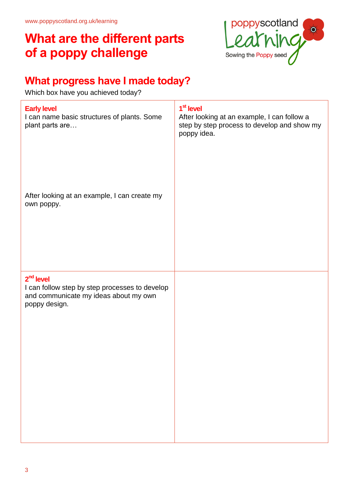

# **What progress have I made today?**

Which box have you achieved today?

| 1 <sup>st</sup> level<br>After looking at an example, I can follow a<br>step by step process to develop and show my<br>poppy idea. |
|------------------------------------------------------------------------------------------------------------------------------------|
|                                                                                                                                    |
|                                                                                                                                    |
|                                                                                                                                    |